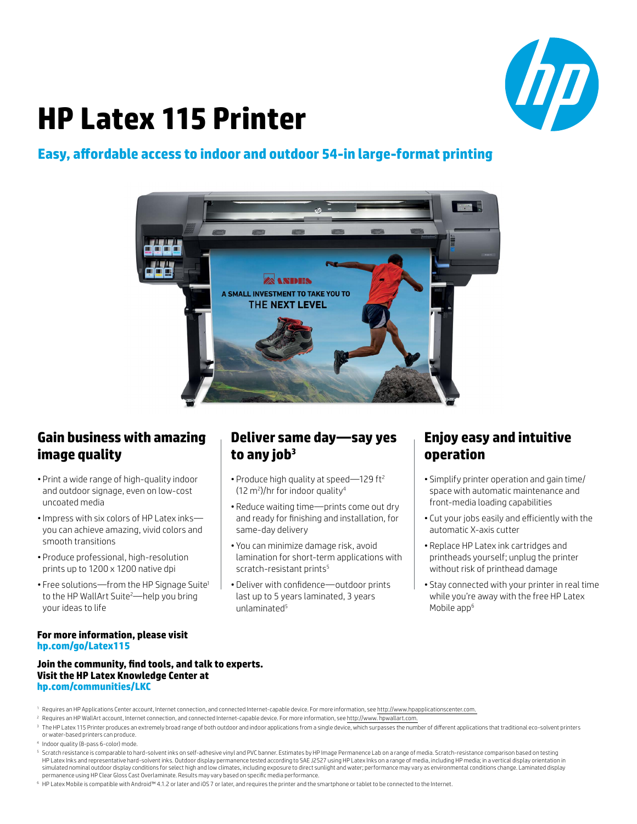

# **HP Latex 115 Printer**

### **Easy, affordable access to indoor and outdoor 54-in large-format printing**



### **Gain business with amazing image quality**

- Print a wide range of high-quality indoor and outdoor signage, even on low-cost uncoated media
- •Impress with six colors of HP Latex inks you can achieve amazing, vivid colors and smooth transitions
- Produce professional, high-resolution prints up to 1200 x 1200 native dpi
- Free solutions—from the HP Signage Suite<sup>1</sup> to the HP WallArt Suite<sup>2</sup>—help you bring your ideas to life

## **Deliver same day—say yes to any job<sup>3</sup>**

- Produce high quality at speed—129 ft<sup>2</sup> (12 m2 )/hr for indoor quality4
- Reduce waiting time—prints come out dry and ready for finishing and installation, for same-day delivery
- You can minimize damage risk, avoid lamination for short-term applications with scratch-resistant prints<sup>5</sup>
- Deliver with confidence—outdoor prints last up to 5 years laminated, 3 years unlaminated5

## **Enjoy easy and intuitive operation**

- Simplify printer operation and gain time/ space with automatic maintenance and front-media loading capabilities
- Cut your jobs easily and efficiently with the automatic X-axis cutter
- Replace HP Latex ink cartridges and printheads yourself; unplug the printer without risk of printhead damage
- Stay connected with your printer in real time while you're away with the free HP Latex Mobile app<sup>6</sup>

#### **For more information, please visit [hp.com/go/Latex115](http://hp.com/go/Latex115)**

#### **Join the community, find tools, and talk to experts. Visit the HP Latex Knowledge Center at hp.com/communities/LKC**

- <sup>1</sup> Requires an HP Applications Center account, Internet connection, and connected Internet-capable device. For more information, see http://www.hpapplicationscenter.com.
- <sup>2</sup> Requires an HP WallArt account, Internet connection, and connected Internet-capable device. For more information, see http://www. hpwallart.com.
- <sup>3</sup> The HP Latex 115 Printer produces an extremely broad range of both outdoor and indoor applications from a single device, which surpasses the number of different applications that traditional eco-solvent printers or water-based printers can produce.
- <sup>4</sup> Indoor quality (8-pass 6-color) mode.
- <sup>5</sup> Scratch resistance is comparable to hard-solvent inks on self-adhesive vinyl and PVC banner. Estimates by HP Image Permanence Lab on a range of media. Scratch-resistance comparison based on testing HP Latex Inks and representative hard-solvent inks. Outdoor display permanence tested according to SAE J2527 using HP Latex Inks on a range of media, including HP media; in a vertical display orientation in simulated nominal outdoor display conditions for select high and low climates, including exposure to direct sunlight and water; performance may vary as environmental conditions change. Laminated display permanence using HP Clear Gloss Cast Overlaminate. Results may vary based on specific media performance.
- <sup>6</sup> HP Latex Mobile is compatible with Android™ 4.1.2 or later and iOS 7 or later, and requires the printer and the smartphone or tablet to be connected to the Internet.